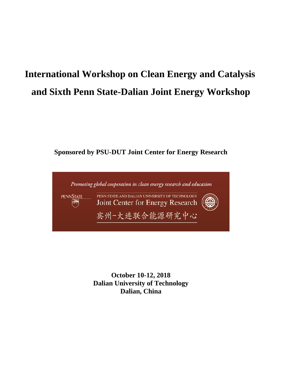# **International Workshop on Clean Energy and Catalysis and Sixth Penn State-Dalian Joint Energy Workshop**

## **Sponsored by PSU-DUT Joint Center for Energy Research**



**October 10-12, 2018 Dalian University of Technology Dalian, China**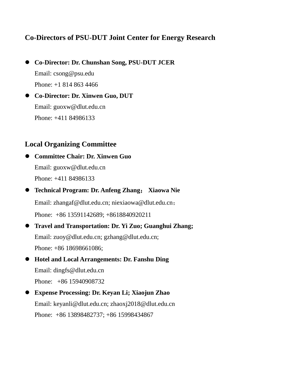## **Co-Directors of PSU-DUT Joint Center for Energy Research**

- **Co-Director: Dr. Chunshan Song, PSU-DUT JCER** Email: csong@psu.edu Phone: +1 814 863 4466
- **Co-Director: Dr. Xinwen Guo, DUT**  Email: guoxw@dlut.edu.cn Phone: +411 84986133

### **Local Organizing Committee**

 **Committee Chair: Dr. Xinwen Guo** Email: guoxw@dlut.edu.cn Phone: +411 84986133

- **Technical Program: Dr. Anfeng Zhang**; **Xiaowa Nie** Email: [zhangaf@dlut.edu.cn;](mailto:zhangaf@dlut.edu.cn) [niexiaowa@dlut.edu.cn](mailto:niexiaowa@dlut.edu.cn); Phone: +86 13591142689; +8618840920211
- **Travel and Transportation: Dr. Yi Zuo; Guanghui Zhang;** Email: zuoy@dlut.edu.cn; gzhang@dlut.edu.cn; Phone: +86 18698661086;
- **Hotel and Local Arrangements: Dr. Fanshu Ding** Email: dingfs@dlut.edu.cn Phone: +86 15940908732
- **Expense Processing: Dr. Keyan Li; Xiaojun Zhao** Email: keyanli@dlut.edu.cn; zhaoxj2018@dlut.edu.cn Phone: +86 13898482737; +86 15998434867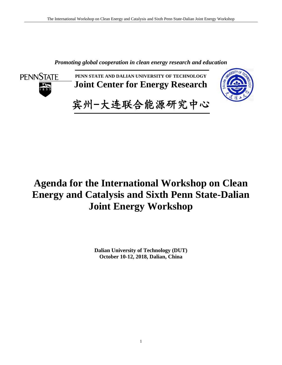*Promoting global cooperation in clean energy research and education*



**PENN STATE AND DALIAN UNIVERSITY OF TECHNOLOGY Joint Center for Energy Research**



宾州-大连联合能源研究中心

## **Agenda for the International Workshop on Clean Energy and Catalysis and Sixth Penn State-Dalian Joint Energy Workshop**

**Dalian University of Technology (DUT) October 10-12, 2018, Dalian, China**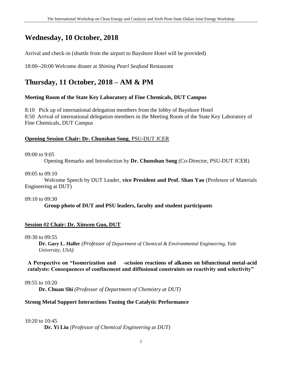## **Wednesday, 10 October, 2018**

Arrival and check-in (shuttle from the airport to Bayshore Hotel will be provided)

18:00--20:00 Welcome dinner at *Shining Pearl Seafood* Restaurant

## **Thursday, 11 October, 2018 – AM & PM**

### **Meeting Room of the State Key Laboratory of Fine Chemicals, DUT Campus**

8:10 Pick up of international delegation members from the lobby of Bayshore Hotel 8:50 Arrival of international delegation members in the Meeting Room of the State Key Laboratory of Fine Chemicals, DUT Campus

### **Opening Session Chair: Dr. Chunshan Song**, PSU-DUT JCER

09:00 to 9:05

Opening Remarks and Introduction by **Dr. Chunshan Song** (Co-Director, PSU-DUT JCER)

09:05 to 09:10

Welcome Speech by DUT Leader, **vice President and Prof. Shan Yao** (Professor of Materials Engineering at DUT)

09:10 to 09:30

**Group photo of DUT and PSU leaders, faculty and student participants**

### **Session #2 Chair: Dr. Xinwen Guo, DUT**

### 09:30 to 09:55

**Dr. Gary L. Haller** *(Professor of Department of Chemical & Environmental Engineering, Yale University, USA)*

### **A Perspective on "Isomerization and -scission reactions of alkanes on bifunctional metal-acid catalysts: Consequences of confinement and diffusional constraints on reactivity and selectivity"**

### 09:55 to 10:20

**Dr. Chuan Shi** *(Professor of Department of Chemistry at DUT)*

### **Strong Metal Support Interactions Tuning the Catalytic Performance**

### 10:20 to 10:45

**Dr. Yi Liu** *(Professor of Chemical Engineering at DUT)*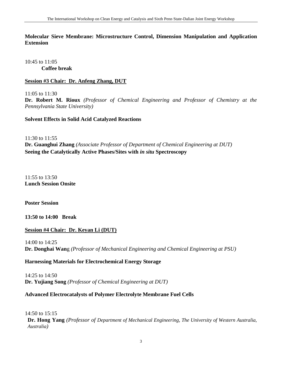### **Molecular Sieve Membrane: Microstructure Control, Dimension Manipulation and Application Extension**

10:45 to 11:05 **Coffee break**

### **Session #3 Chair: Dr. Anfeng Zhang, DUT**

11:05 to 11:30

**Dr. Robert M. Rioux** *(Professor of Chemical Engineering and Professor of Chemistry at the Pennsylvania State University)*

### **Solvent Effects in Solid Acid Catalyzed Reactions**

11:30 to 11:55

**Dr. Guanghui Zhang** *(Associate Professor of Department of Chemical Engineering at DUT)* **Seeing the Catalytically Active Phases/Sites with** *in situ* **Spectroscopy**

11:55 to 13:50 **Lunch Session Onsite** 

**Poster Session**

### **13:50 to 14:00 Break**

### **Session #4 Chair: Dr. Keyan Li (DUT)**

14:00 to 14:25 **Dr. Donghai Wan**g *(Professor of Mechanical Engineering and Chemical Engineering at PSU)*

### **Harnessing Materials for Electrochemical Energy Storage**

14:25 to 14:50 **Dr. Yujiang Song** *(Professor of Chemical Engineering at DUT)*

### **Advanced Electrocatalysts of Polymer Electrolyte Membrane Fuel Cells**

14:50 to 15:15

**Dr. Hong Yang** *(Professor of Department of Mechanical Engineering, The University of Western Australia, Australia)*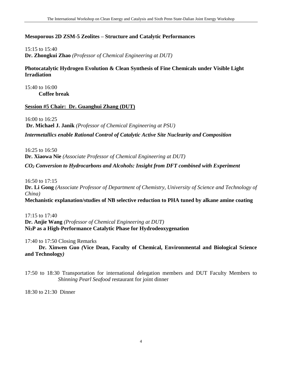### **Mesoporous 2D ZSM-5 Zeolites – Structure and Catalytic Performances**

15:15 to 15:40 **Dr. Zhongkui Zhao** *(Professor of Chemical Engineering at DUT)*

### **Photocatalytic Hydrogen Evolution & Clean Synthesis of Fine Chemicals under Visible Light Irradiation**

15:40 to 16:00 **Coffee break**

### **Session #5 Chair: Dr. Guanghui Zhang (DUT)**

16:00 to 16:25

**Dr. Michael J. Janik** *(Professor of Chemical Engineering at PSU) Intermetallics enable Rational Control of Catalytic Active Site Nuclearity and Composition*

16:25 to 16:50 **Dr. Xiaowa Nie** *(Associate Professor of Chemical Engineering at DUT)*

*CO<sup>2</sup> Conversion to Hydrocarbons and Alcohols: Insight from DFT combined with Experiment*

16:50 to 17:15

**Dr. Li Gong** *(Associate Professor of Department of Chemistry, University of Science and Technology of China)*

**Mechanistic explanation/studies of NB selective reduction to PHA tuned by alkane amine coating**

17:15 to 17:40 **Dr. Anjie Wang** *(Professor of Chemical Engineering at DUT)* **Ni3P as a High-Performance Catalytic Phase for Hydrodeoxygenation**

17:40 to 17:50 Closing Remarks

**Dr. Xinwen Guo** *(***Vice Dean, Faculty of Chemical, Environmental and Biological Science and Technology***)*

17:50 to 18:30 Transportation for international delegation members and DUT Faculty Members to *Shinning Pearl Seafood* restaurant for joint dinner

18:30 to 21:30 Dinner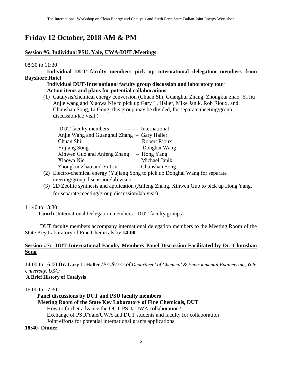## **Friday 12 October, 2018 AM & PM**

### **Session #6: Individual PSU, Yale, UWA-DUT /Meetings**

### 08:30 to 11:30

 **Individual DUT faculty members pick up international delegation members from Bayshore Hotel** 

### **Individual DUT-International faculty group discussion and laboratory tour Action items and plans for potential collaborations**

(1) Catalysis/chemical energy conversion (Chuan Shi, Guanghui Zhang, Zhongkui zhao, Yi liu Anjie wang and Xiaowa Nie to pick up Gary L. Haller, Mike Janik, Rob Rioux, and Chunshan Song, Li Gong; this group may be divided, for separate meeting/group discussion/lab visit )

| DUT faculty members ------ International    |                 |
|---------------------------------------------|-----------------|
| Anjie Wang and Guanghui Zhang – Gary Haller |                 |
| Chuan Shi                                   | - Robert Rioux  |
| <b>Yujiang Song</b>                         | - Donghai Wang  |
| Xinwen Guo and Anfeng Zhang                 | - Hong Yang     |
| Xiaowa Nie                                  | - Michael Janik |
| Zhongkui Zhao and Yi Liu                    | - Chunshan Song |

- (2) Electro-chemical energy (Yujiang Song to pick up Donghai Wang for separate meeting/group discussion/lab visit)
- (3) 2D Zeolite synthesis and application (Anfeng Zhang, Xinwen Guo to pick up Hong Yang, for separate meeting/group discussion/lab visit)

### 11:40 to 13:30

**Lunch** (International Delegation members - DUT faculty groups)

 DUT faculty members accompany international delegation members to the Meeting Room of the State Key Laboratory of Fine Chemicals by **14:00**

### **Session #7: DUT-International Faculty Members Panel Discussion Facilitated by Dr. Chunshan Song**

14:00 to 16:00 **Dr. Gary L. Haller** *(Professor of Department of Chemical & Environmental Engineering, Yale University, USA)*

### **A Brief History of Catalysis**

16:00 to 17:30

 **Panel discussions by DUT and PSU faculty members** 

 **Meeting Room of the State Key Laboratory of Fine Chemicals, DUT**

How to further advance the DUT-PSU/ UWA collaboration?

Exchange of PSU/Yale/UWA and DUT students and faculty for collaboration

Joint efforts for potential international grants applications

### **18:40- Dinner**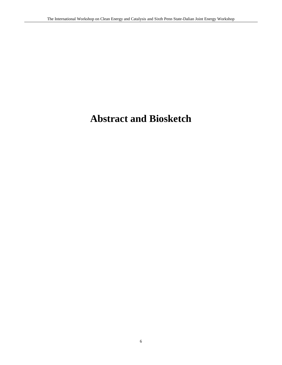## **Abstract and Biosketch**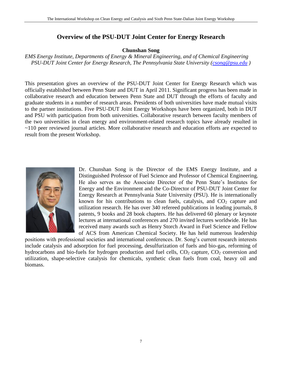### **Overview of the PSU-DUT Joint Center for Energy Research**

### **Chunshan Song**

*EMS Energy Institute, Departments of Energy & Mineral Engineering, and of Chemical Engineering PSU-DUT Joint Center for Energy Research, The Pennsylvania State University [\(csong@psu.edu](mailto:csong@psu.edu) )*

This presentation gives an overview of the PSU-DUT Joint Center for Energy Research which was officially established between Penn State and DUT in April 2011. Significant progress has been made in collaborative research and education between Penn State and DUT through the efforts of faculty and graduate students in a number of research areas. Presidents of both universities have made mutual visits to the partner institutions. Five PSU-DUT Joint Energy Workshops have been organized, both in DUT and PSU with participation from both universities. Collaborative research between faculty members of the two universities in clean energy and environment-related research topics have already resulted in ~110 peer reviewed journal articles. More collaborative research and education efforts are expected to result from the present Workshop.



Dr. Chunshan Song is the Director of the EMS Energy Institute, and a Distinguished Professor of Fuel Science and Professor of Chemical Engineering. He also serves as the Associate Director of the Penn State's Institutes for Energy and the Environment and the Co-Director of PSU-DUT Joint Center for Energy Research at Pennsylvania State University (PSU). He is internationally known for his contributions to clean fuels, catalysis, and  $CO<sub>2</sub>$  capture and utilization research. He has over 340 refereed publications in leading journals, 8 patents, 9 books and 28 book chapters. He has delivered 60 plenary or keynote lectures at international conferences and 270 invited lectures worldwide. He has received many awards such as Henry Storch Award in Fuel Science and Fellow of ACS from American Chemical Society. He has held numerous leadership

positions with professional societies and international conferences. Dr. Song's current research interests include catalysis and adsorption for fuel processing, desulfurization of fuels and bio-gas, reforming of hydrocarbons and bio-fuels for hydrogen production and fuel cells,  $CO<sub>2</sub>$  capture,  $CO<sub>2</sub>$  conversion and utilization, shape-selective catalysis for chemicals, synthetic clean fuels from coal, heavy oil and biomass.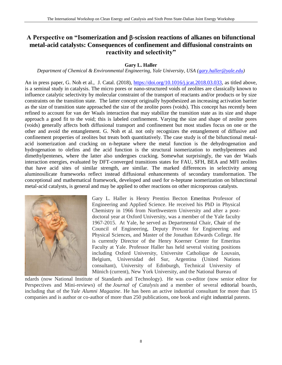### A Perspective on "Isomerization and β-scission reactions of alkanes on bifunctional **metal-acid catalysts: Consequences of confinement and diffusional constraints on reactivity and selectivity"**

### **Gary L. Haller**

*Department of Chemical & Environmental Engineering, Yale University, USA [\(gary.haller@yale.edu\)](mailto:gary.haller@yale.edu)* 

An in press paper, G. Noh et al., J. Catal. (2018), [https://doi.org/10.1016/j.jcat.2018.03.033,](https://doi.org/10.1016/j.jcat.2018.03.033) as titled above, is a seminal study in catalysis. The micro pores or nano-structured voids of zeolites are classically known to influence catalytic selectivity by molecular constraint of the transport of reactants and/or products or by size constraints on the transition state. The latter concept originally hypothesized an increasing activation barrier as the size of transition state approached the size of the zeolite pores (voids). This concept has recently been refined to account for van der Waals interaction that may stabilize the transition state as its size and shape approach a good fit to the void; this is labeled confinement. Varying the size and shape of zeolite pores (voids) generally affects both diffusional transport and confinement but most studies focus on one or the other and avoid the entanglement. G. Noh et al. not only recognizes the entanglement of diffusive and confinement properties of zeolites but treats both quantitatively. The case study is of the bifunctional metalacid isomerization and cracking on n-heptane where the metal function is the dehydrogenation and hydrogenation to olefins and the acid function is the structural isomerization to methylpentenes and dimethylpentenes, where the latter also undergoes cracking. Somewhat surprisingly, the van der Waals interaction energies, evaluated by DFT-converged transitions states for FAU, SFH, BEA and MFI zeolites that have acid sites of similar strength, are similar. The marked differences in selectivity among aluminosilicate frameworks reflect instead diffusional enhancements of secondary transformation. The conceptional and mathematical framework, developed and used for n-heptane isomerization on bifunctional metal-acid catalysts, is general and may be applied to other reactions on other microporous catalysts.



Gary L. Haller is Henry Prentiss Becton Emeritus Professor of Engineering and Applied Science. He received his PhD in Physical Chemistry in 1966 from Northwestern University and after a postdoctoral year at Oxford University, was a member of the Yale faculty 1967-2015. At Yale, he served as Departmental Chair, Chair of the Council of Engineering, Deputy Provost for Engineering and Physical Sciences, and Master of the Jonathan Edwards College. He is currently Director of the Henry Koerner Center for Emeritus Faculty at Yale. Professor Haller has held several visiting positions including Oxford University, Universite Catholique de Louvain, Belgium, Universidad del Sur, Argentina (United Nations consultant), University of Edinburgh, Technical University of Münich (current), New York University, and the National Bureau of

ndards (now National Institute of Standards and Technology). He was co-editor (now senior editor for Perspectives and Mini-reviews) of the *Journal of Catalysis* and a member of several editorial boards, including that of the *Yale Alumni Magazine*. He has been an active industrial consultant for more than 15 companies and is author or co-author of more than 250 publications, one book and eight industrial patents.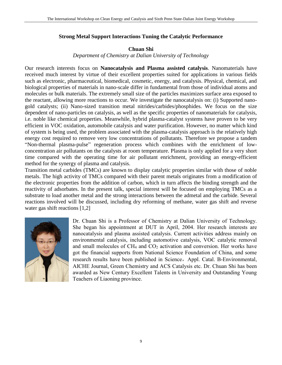### **Strong Metal Support Interactions Tuning the Catalytic Performance**

### **Chuan Shi**

*Department of Chemistry at Dalian University of Technology*

Our research interests focus on **Nanocatalysis and Plasma assisted catalysis**. Nanomaterials have received much interest by virtue of their excellent properties suited for applications in various fields such as electronic, pharmaceutical, biomedical, cosmetic, energy, and catalysis. Physical, chemical, and biological properties of materials in nano-scale differ in fundamental from those of individual atoms and molecules or bulk materials. The extremely small size of the particles maximizes surface area exposed to the reactant, allowing more reactions to occur. We investigate the nanocatalysis on: (i) Supported nanogold catalysts; (ii) Nano-sized transition metal nitrides/carbides/phosphides. We focus on the size dependent of nano-particles on catalysis, as well as the specific properties of nanomaterials for catalysis, i.e. noble like chemical properties. Meanwhile, hybrid plasma-catalyst systems have proven to be very efficient in VOC oxidation, automobile catalysis and water purification. However, no matter which kind of system is being used, the problem associated with the plasma-catalysis approach is the relatively high energy cost required to remove very low concentrations of pollutants. Therefore we propose a tandem "Non-thermal plasma-pulse" regeneration process which combines with the enrichment of lowconcentration air pollutants on the catalysts at room temperature. Plasma is only applied for a very short time compared with the operating time for air pollutant enrichment, providing an energy-efficient method for the synergy of plasma and catalysis.

Transition metal carbides (TMCs) are known to display catalytic properties similar with those of noble metals. The high activity of TMCs compared with their parent metals originates from a modification of the electronic properties from the addition of carbon, which in turn affects the binding strength and the reactivity of adsorbates. In the present talk, special interest will be focused on employing TMCs as a substrate to load another metal and the strong interactions between the admetal and the carbide. Several reactions involved will be discussed, including dry reforming of methane, water gas shift and reverse water gas shift reactions [1,2]



Dr. Chuan Shi is a Professor of Chemistry at Dalian University of Technology. She began his appointment at DUT in April, 2004. Her research interests are nanocatalysis and plasma assisted catalysis. Current activities address mainly on environmental catalysis, including automotive catalysis, VOC catalytic removal and small molecules of CH<sub>4</sub> and CO<sub>2</sub> activation and conversion. Her works have got the financial supports from National Science Foundation of China, and some research results have been published in Science, Appl. Catal. B-Environmental, AICHE Journal, Green Chemistry and ACS Catalysis etc. Dr. Chuan Shi has been awarded as New Century Excellent Talents in University and Outstanding Young Teachers of Liaoning province.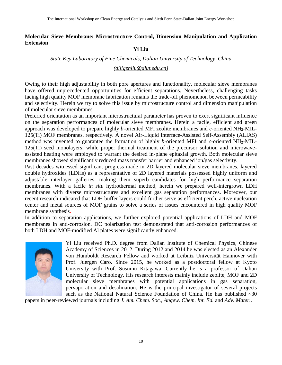### **Molecular Sieve Membrane: Microstructure Control, Dimension Manipulation and Application Extension**

### **Yi Liu**

### *State Key Laboratory of Fine Chemicals, Dalian University of Technology, China*

### *(diligenliu@dlut.edu.cn)*

Owing to their high adjustability in both pore apertures and functionality, molecular sieve membranes have offered unprecedented opportunities for efficient separations. Nevertheless, challenging tasks facing high quality MOF membrane fabrication remains the trade-off phenomenon between permeability and selectivity. Herein we try to solve this issue by microstructure control and dimension manipulation of molecular sieve membranes.

Preferred orientation as an important microstructural parameter has proven to exert significant influence on the separation performances of molecular sieve membranes. Herein a facile, efficient and green approach was developed to prepare highly *b*-oriented MFI zeolite membranes and *c*-oriented NH2-MIL-125(Ti) MOF membranes, respectively. A novel Air-Liquid Interface-Assisted Self-Assembly (ALIAS) method was invented to guarantee the formation of highly *b*-oriented MFI and *c*-oriented NH2-MIL-125(Ti) seed monolayers; while proper thermal treatment of the precursor solution and microwaveassisted heating were employed to warrant the desired in-plane epitaxial growth. Both molecular sieve membranes showed significantly reduced mass transfer barrier and enhanced ion/gas selectivity.

Past decades witnessed significant progress made in 2D layered molecular sieve membranes. layered double hydroxides (LDHs) as a representative of 2D layered materials possessed highly uniform and adjustable interlayer galleries, making them superb candidates for high performance separation membranes. With a facile *in situ* hydrothermal method, herein we prepared well-intergrown LDH membranes with diverse microstructures and excellent gas separation performances. Moreover, our recent research indicated that LDH buffer layers could further serve as efficient perch, active nucleation center and metal sources of MOF grains to solve a series of issues encountered in high quality MOF membrane synthesis.

In addition to separation applications, we further explored potential applications of LDH and MOF membranes in anti-corrosion. DC polarization test demonstrated that anti-corrosion performances of both LDH and MOF-modified Al plates were significantly enhanced.



Yi Liu received Ph.D. degree from Dalian Institute of Chemical Physics, Chinese Academy of Sciences in 2012. During 2012 and 2014 he was elected as an Alexander von Humboldt Research Fellow and worked at Leibniz Universität Hannover with Prof. Juergen Caro. Since 2015, he worked as a postdoctoral fellow at Kyoto University with Prof. Susumu Kitagawa. Currently he is a professor of Dalian University of Technology. His research interests mainly include zeolite, MOF and 2D molecular sieve membranes with potential applications in gas separation, pervaporation and desalination. He is the principal investigator of several projects such as the National Natural Science Foundation of China. He has published  $~30$ 

papers in peer-reviewed journals including *J. Am. Chem. Soc.*, *Angew. Chem. Int. Ed.* and *Adv. Mater.*.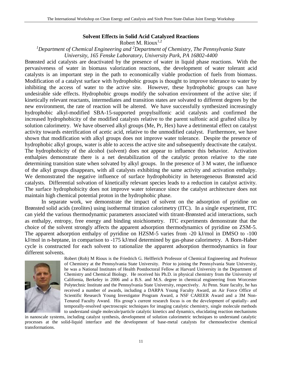### **Solvent Effects in Solid Acid Catalyzed Reactions**

Robert M. Rioux<sup>1,2</sup>

*<sup>1</sup>Department of Chemical Engineering and <sup>2</sup>Department of Chemistry, The Pennsylvania State University, 165 Fenske Laboratory, University Park, PA 16802-4400*

Brønsted acid catalysts are deactivated by the presence of water in liquid phase reactions. With the pervasiveness of water in biomass valorization reactions, the development of water tolerant acid catalysts is an important step in the path to economically viable production of fuels from biomass. Modification of a catalyst surface with hydrophobic groups is thought to improve tolerance to water by inhibiting the access of water to the active site. However, these hydrophobic groups can have undesirable side effects. Hydrophobic groups modify the solvation environment of the active site; if kinetically relevant reactants, intermediates and transition states are solvated to different degrees by the new environment, the rate of reaction will be altered. We have successfully synthesized increasingly hydrophobic alkyl-modified SBA-15-supported propylsulfonic acid catalysts and confirmed the increased hydrophobicity of the modified catalysts relative to the parent sulfonic acid grafted silica by solution calorimetry. We have observed alkyl groups (Me, Pr, Hex) have a detrimental effect on catalyst activity towards esterification of acetic acid, relative to the unmodified catalyst. Furthermore, we have shown that modification with alkyl groups does not improve water tolerance. Despite the presence of hydrophobic alkyl groups, water is able to access the active site and subsequently deactivate the catalyst. The hydrophobicity of the alcohol (solvent) does not appear to influence this behavior. Activation enthalpies demonstrate there is a net destabilization of the catalytic proton relative to the rate determining transition state when solvated by alkyl groups. In the presence of 3 M water, the influence of the alkyl groups disappears, with all catalysts exhibiting the same activity and activation enthalpy. We demonstrated the negative influence of surface hydrophobicity in heterogeneous Brønsted acid catalysts. Differential solvation of kinetically relevant species leads to a reduction in catalyst activity. The surface hydrophobicity does not improve water tolerance since the catalyst architecture does not maintain high chemical potential proton in the hydrophobic phase.

In separate work, we demonstrate the impact of solvent on the adsorption of pyridine on Brønsted solid acids (zeolites) using isothermal titration calorimetry (ITC). In a single experiment, ITC can yield the various thermodynamic parameters associated with titrant-Brønsted acid interactions, such as enthalpy, entropy, free energy and binding stoichiometry. ITC experiments demonstrate that the choice of the solvent strongly affects the apparent adsorption thermodynamics of pyridine on ZSM-5. The apparent adsorption enthalpy of pyridine on HZSM-5 varies from -20 kJ/mol in DMSO to -100 kJ/mol in n-heptane, in comparison to -175 kJ/mol determined by gas-phase calorimetry. A Born-Haber cycle is constructed for each solvent to rationalize the apparent adsorption thermodynamics in four different solvents.



Robert (Rob) M Rioux is the Friedrich G. Helfferich Professor of Chemical Engineering and Professor of Chemistry at the Pennsylvania State University. Prior to joining the Pennsylvania State University, he was a National Institutes of Health Postdoctoral Fellow at Harvard University in the Department of Chemistry and Chemical Biology. He received his Ph.D. in physical chemistry from the University of California, Berkeley in 2006 and a B.S. and M.S. degree in chemical engineering from Worcester Polytechnic Institute and the Pennsylvania State University, respectively. At Penn. State faculty, he has received a number of awards, including a DARPA Young Faculty Award, an Air Force Office of Scientific Research Young Investigator Program Award, a NSF CAREER Award and a 3M Non-Tenured Faculty Award. His group's current research focus is on the development of spatially- and temporally-resolved spectroscopic techniques for imaging catalytic chemistry, single molecule methods to understand single molecule/particle catalytic kinetics and dynamics, elucidating reaction mechanisms

in nanoscale systems, including catalyst synthesis, development of solution calorimetric techniques to understand catalytic processes at the solid-liquid interface and the development of base-metal catalysts for chemoselective chemical transformations.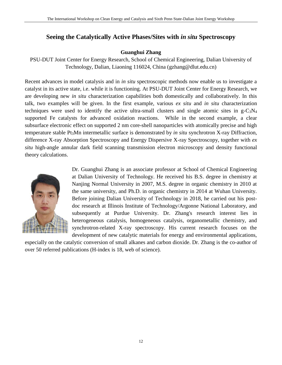### **Seeing the Catalytically Active Phases/Sites with** *in situ* **Spectroscopy**

### **Guanghui Zhang**

PSU-DUT Joint Center for Energy Research, School of Chemical Engineering, Dalian University of Technology, Dalian, Liaoning 116024, China [\(gzhang@dlut.edu.cn\)](mailto:gzhang@dlut.edu.cn)

Recent advances in model catalysis and in *in situ* spectroscopic methods now enable us to investigate a catalyst in its active state, i.e. while it is functioning. At PSU-DUT Joint Center for Energy Research, we are developing new *in situ* characterization capabilities both domestically and collaboratively. In this talk, two examples will be given. In the first example, various *ex situ* and *in situ* characterization techniques were used to identify the active ultra-small clusters and single atomic sites in  $g-C_3N_4$ supported Fe catalysts for advanced oxidation reactions. While in the second example, a clear subsurface electronic effect on supported 2 nm core-shell nanoparticles with atomically precise and high temperature stable Pt3Mn intermetallic surface is demonstrated by *in situ* synchrotron X-ray Diffraction, difference X-ray Absorption Spectroscopy and Energy Dispersive X-ray Spectroscopy, together with *ex situ* high-angle annular dark field scanning transmission electron microscopy and density functional theory calculations.



Dr. Guanghui Zhang is an associate professor at School of Chemical Engineering at Dalian University of Technology. He received his B.S. degree in chemistry at Nanjing Normal University in 2007, M.S. degree in organic chemistry in 2010 at the same university, and Ph.D. in organic chemistry in 2014 at Wuhan University. Before joining Dalian University of Technology in 2018, he carried out his postdoc research at Illinois Institute of Technology/Argonne National Laboratory, and subsequently at Purdue University. Dr. Zhang's research interest lies in heterogeneous catalysis, homogeneous catalysis, organometallic chemistry, and synchrotron-related X-ray spectroscopy. His current research focuses on the development of new catalytic materials for energy and environmental applications,

especially on the catalytic conversion of small alkanes and carbon dioxide. Dr. Zhang is the co-author of over 50 referred publications (H-index is 18, web of science).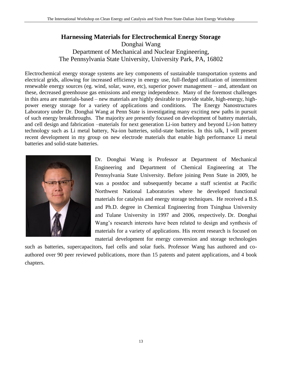### **Harnessing Materials for Electrochemical Energy Storage**  Donghai Wang Department of Mechanical and Nuclear Engineering, The Pennsylvania State University, University Park, PA, 16802

Electrochemical energy storage systems are key components of sustainable transportation systems and electrical grids, allowing for increased efficiency in energy use, full-fledged utilization of intermittent renewable energy sources (eg. wind, solar, wave, etc), superior power management – and, attendant on these, decreased greenhouse gas emissions and energy independence. Many of the foremost challenges in this area are materials-based – new materials are highly desirable to provide stable, high-energy, highpower energy storage for a variety of applications and conditions. The Energy Nanostructures Laboratory under Dr. Donghai Wang at Penn State is investigating many exciting new paths in pursuit of such energy breakthroughs. The majority are presently focused on development of battery materials, and cell design and fabrication –materials for next generation Li-ion battery and beyond Li-ion battery technology such as Li metal battery, Na-ion batteries, solid-state batteries. In this talk, I will present recent development in my group on new electrode materials that enable high performance Li metal batteries and solid-state batteries.



Dr. Donghai Wang is Professor at Department of Mechanical Engineering and Department of Chemical Engineering at The Pennsylvania State University. Before joining Penn State in 2009, he was a postdoc and subsequently became a staff scientist at Pacific Northwest National Laboratories where he developed functional materials for catalysis and energy storage techniques. He received a B.S. and Ph.D. degree in Chemical Engineering from Tsinghua University and Tulane University in 1997 and 2006, respectively. Dr. Donghai Wang's research interests have been related to design and synthesis of materials for a variety of applications. His recent research is focused on material development for energy conversion and storage technologies

such as batteries, supercapacitors, fuel cells and solar fuels. Professor Wang has authored and coauthored over 90 peer reviewed publications, more than 15 patents and patent applications, and 4 book chapters.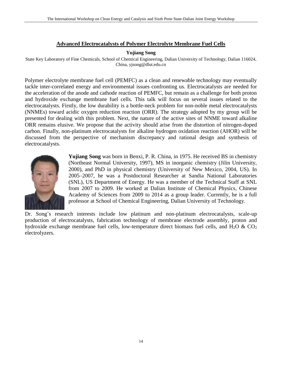### **Advanced Electrocatalysts of Polymer Electrolyte Membrane Fuel Cells**

### **Yujiang Song**

State Key Laboratory of Fine Chemicals, School of Chemical Engineering, Dalian University of Technology, Dalian 116024, China, yjsong@dlut.edu.cn

Polymer electrolyte membrane fuel cell (PEMFC) as a clean and renewable technology may eventually tackle inter-correlated energy and environmental issues confronting us. Electrocatalysts are needed for the acceleration of the anode and cathode reaction of PEMFC, but remain as a challenge for both proton and hydroxide exchange membrane fuel cells. This talk will focus on several issues related to the electrocatalysts. Firstly, the low durability is a bottle-neck problem for non-noble metal electrocatalysts (NNMEs) toward acidic oxygen reduction reaction (ORR). The strategy adopted by my group will be presented for dealing with this problem. Next, the nature of the active sites of NNME toward alkaline ORR remains elusive. We propose that the activity should arise from the distortion of nitrogen-doped carbon. Finally, non-platinum electrocatalysts for alkaline hydrogen oxidation reaction (AHOR) will be discussed from the perspective of mechanism discrepancy and rational design and synthesis of electrocatalysts.



**Yujiang Song** was born in Benxi, P. R. China, in 1975. He received BS in chemistry (Northeast Normal University, 1997), MS in inorganic chemistry (Jilin University, 2000), and PhD in physical chemistry (University of New Mexico, 2004, US). In 2005–2007, he was a Postdoctoral Researcher at Sandia National Laboratories (SNL), US Department of Energy. He was a member of the Technical Staff at SNL from 2007 to 2009. He worked at Dalian Institute of Chemical Physics, Chinese Academy of Sciences from 2009 to 2014 as a group leader. Currently, he is a full professor at School of Chemical Engineering, Dalian University of Technology.

Dr. Song's research interests include low platinum and non-platinum electrocatalysts, scale-up production of electrocatalysts, fabrication technology of membrane electrode assembly, proton and hydroxide exchange membrane fuel cells, low-temperature direct biomass fuel cells, and  $H_2O \& CO_2$ electrolyzers.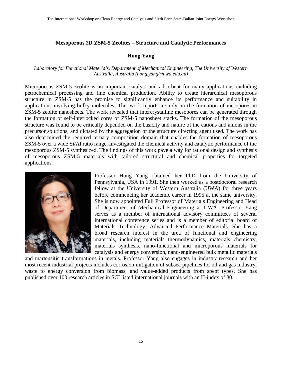### **Mesoporous 2D ZSM-5 Zeolites – Structure and Catalytic Performances**

### **Hong Yang**

### *Laboratory for Functional Materials, Department of Mechanical Engineering, The University of Western Australia, Australia (hong.yang@uwa.edu.au)*

Microporous ZSM-5 zeolite is an important catalyst and adsorbent for many applications including petrochemical processing and fine chemical production. Ability to create hierarchical mesoporous structure in ZSM-5 has the promise to significantly enhance its performance and suitability in applications involving bulky molecules. This work reports a study on the formation of mesopores in ZSM-5 zeolite nanosheets. The work revealed that intercrystalline mesopores can be generated through the formation of self-interlocked cores of ZSM-5 nanosheet stacks. The formation of the mesoporous structure was found to be critically depended on the basicity and nature of the cations and anions in the precursor solutions, and dictated by the aggregation of the structure directing agent used. The work has also determined the required ternary composition domain that enables the formation of mesoporous ZSM-5 over a wide Si/Al ratio range, investigated the chemical activity and catalytic performance of the mesoporous ZSM-5 synthesized. The findings of this work pave a way for rational design and synthesis of mesoporous ZSM-5 materials with tailored structural and chemical properties for targeted applications.



Professor Hong Yang obtained her PhD from the University of Pennsylvania, USA in 1991. She then worked as a postdoctoral research fellow at the University of Western Australia (UWA) for three years before commencing her academic career in 1995 at the same university. She is now appointed Full Professor of Materials Engineering and Head of Department of Mechanical Engineering at UWA. Professor Yang serves as a member of international advisory committees of several international conference series and is a member of editorial board of Materials Technology: Advanced Performance Materials. She has a broad research interest in the area of functional and engineering materials, including materials thermodynamics, materials chemistry, materials synthesis, nano-functional and microporous materials for catalysis and energy conversion, nano-engineered bulk metallic materials

and martensitic transformations in metals. Professor Yang also engages in industry research and her most recent industrial projects includes corrosion mitigation of subsea pipelines for oil and gas industry, waste to energy conversion from biomass, and value-added products from spent types. She has published over 100 research articles in SCI listed international journals with an H-index of 30.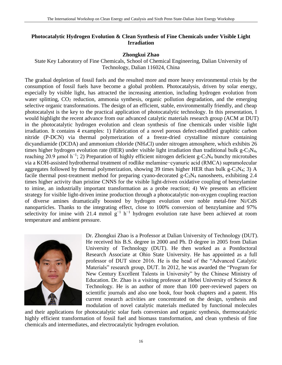### **Photocatalytic Hydrogen Evolution & Clean Synthesis of Fine Chemicals under Visible Light Irradiation**

### **Zhongkui Zhao**

State Key Laboratory of Fine Chemicals, School of Chemical Engineering, Dalian University of Technology, Dalian 116024, China

The gradual depletion of fossil fuels and the resulted more and more heavy environmental crisis by the consumption of fossil fuels have become a global problem. Photocatalysis, driven by solar energy, especially by visible light, has attracted the increasing attention, including hydrogen evolution from water splitting,  $CO<sub>2</sub>$  reduction, ammonia synthesis, organic pollution degradation, and the emerging selective organic transformations. The design of an efficient, stable, environmentally friendly, and cheap photocatalyst is the key to the practical application of photocatalytic technology. In this presentation, I would highlight the recent advance from our advanced catalytic materials research group (ACM at DUT) in the photocatalytic hydrogen evolution and clean synthesis of fine chemicals under visible light irradiation. It contains 4 examples: 1) Fabrication of a novel porous defect-modified graphitic carbon nitride (P-DCN) via thermal polymerization of a freeze-dried crystalline mixture containing dicyandiamide (DCDA) and ammonium chloride (NH4Cl) under nitrogen atmosphere, which exhibits 26 times higher hydrogen evolution rate (HER) under visible light irradiation than traditional bulk g-C<sub>3</sub>N<sub>4</sub>, reaching 20.9 μmol h<sup>-1</sup>; 2) Preparation of highly efficient nitrogen deficient g-C<sub>3</sub>N<sub>4</sub> bunchy microtubes via a KOH-assisted hydrothermal treatment of rodlike melamine−cyanuric acid (RMCA) supramolecular aggregates followed by thermal polymerization, showing 39 times higher HER than bulk g-C<sub>3</sub>N<sub>4</sub>; 3) A facile thermal post-treatment method for preparing cyano-decorated  $g - C_3N_4$  nanosheets, exhibiting 2.4 times higher activity than pristine CNNS for the visible light-driven oxidative coupling of benzylamine to imine, an industrially important transformation as a probe reaction; 4) We presents an efficient strategy for visible light-driven imine production through a photocatalytic non-oxygen coupling reaction of diverse amines dramatically boosted by hydrogen evolution over noble metal-free Ni/CdS nanoparticles. Thanks to the integrating effect, close to 100% conversion of benzylamine and 97% selectivity for imine with 21.4 mmol  $g^{-1}$  h<sup>-1</sup> hydrogen evolution rate have been achieved at room temperature and ambient pressure.



Dr. Zhongkui Zhao is a Professor at Dalian University of Technology (DUT). He received his B.S. degree in 2000 and Ph. D degree in 2005 from Dalian University of Technology (DUT). He then worked as a Postdoctoral Research Associate at Ohio State University. He has appointed as a full professor of DUT since 2016. He is the head of the "Advanced Catalytic Materials" research group, DUT. In 2012, he was awarded the "Program for New Century Excellent Talents in University" by the Chinese Ministry of Education. Dr. Zhao is a visiting professor at Hebei University of Science & Technology. He is an author of more than 100 peer-reviewed papers on scientific journals and also one book, four book chapters and a patent. His current research activities are concentrated on the design, synthesis and modulation of novel catalytic materials mediated by functional molecules

and their applications for photocatalytic solar fuels conversion and organic synthesis, thermocatalytic highly efficient transformation of fossil fuel and biomass transformation, and clean synthesis of fine chemicals and intermediates, and electrocatalytic hydrogen evolution.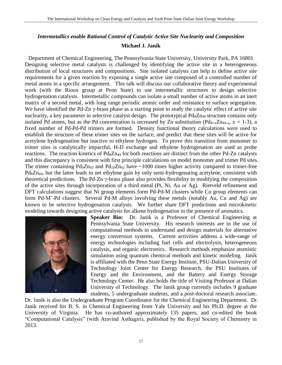### *Intermetallics enable Rational Control of Catalytic Active Site Nuclearity and Composition* **Michael J. Janik**

Department of Chemical Engineering, The Pennsylvania State University, University Park, PA 16801 Designing selective metal catalysts is challenged by identifying the active site in a heterogeneous distribution of local structures and compositions. Site isolated catalysts can help to define active site requirements for a given reaction by exposing a single active site composed of a controlled number of metal atoms in a specific arrangement. This talk will discuss our collaborative theory and experimental work (with the Rioux group at Penn State) to use intermetallic structures to design selective hydrogenation catalysts. Intermetallic compounds can isolate a small number of active atoms in an inert matrix of a second metal, with long range periodic atomic order and resistance to surface segregation. We have identified the Pd-Zn γ-brass phase as a starting point to study the catalytic effect of active site nuclearity, a key parameter in selective catalyst design. The prototypical Pd<sub>8</sub>Zn<sub>44</sub> structure contains only isolated Pd atoms, but as the Pd concentration is increased by Zn substitution ( $Pd_{8+x}Zn_{44-x}$ ,  $x = 1-3$ ), a fixed number of Pd-Pd-Pd trimers are formed. Density functional theory calculations were used to establish the structure of these trimer sites on the surface, and predict that these sites will be active for acetylene hydrogenation but inactive to ethylene hydrogen. To prove this transition from monomer to trimer sites is catalytically impactful, H-D exchange and ethylene hydrogenation are used as probe reactions. The reaction kinetics of Pd<sub>8</sub>Zn<sub>44</sub> for both reactions are distinct from the other Pd-Zn catalysts and this discrepancy is consistent with first principle calculations on model monomer and trimer Pd sites. The trimer containing  $Pd_9Zn_{43}$  and  $Pd_{10}Zn_{42}$  have  $\sim 1000$  times higher activity compared to trimer-free Pd8Zn44, but the latter leads to net ethylene gain by only semi-hydrogenating acetylene, consistent with theoretical predictions. The Pd-Zn  $\gamma$ -brass phase also provides flexibility in modifying the composition of the active sites through incorporation of a third metal (Pt, Ni, Au or Ag). Rietveld refinement and DFT calculations suggest that Ni group elements form Pd-Pd-M clusters while Cu group elements can form Pd-M'-Pd clusters. Several Pd-M alloys involving these metals (notably Au, Cu and Ag) are known to be selective hydrogenation catalysts. We further share DFT predictions and microkinetic modeling towards designing active catalysts for alkene hydrogenation in the presence of aromatics.



**Speaker Bio:** Dr. Janik is a Professor of Chemical Engineering at Pennsylvania State University. His research interests are in the use of computational methods to understand and design materials for alternative energy conversion systems. Current activities address a wide-range of energy technologies including fuel cells and electrolysis, heterogeneous catalysis, and organic electronics. Research methods emphasize atomistic simulation using quantum chemical methods and kinetic modeling. Janik is affiliated with the Penn State Energy Institute, PSU-Dalian University of Technology Joint Center for Energy Research, the PSU Institutes of Energy and the Environment, and the Battery and Energy Storage Technology Center. He also holds the title of Visiting Professor at Dalian University of Technology. The Janik group currently includes 9 graduate students, 5 undergraduate students, and a post-doctoral research associate.

Dr. Janik is also the Undergraduate Program Coordinator for the Chemical Engineering Department. Dr. Janik received his B. S. in Chemical Engineering from Yale University and his Ph.D. degree at the University of Virginia. He has co-authored approximately 135 papers, and co-edited the book "Computational Catalysis" (with Aravind Asthagiri), published by the Royal Society of Chemistry in 2013.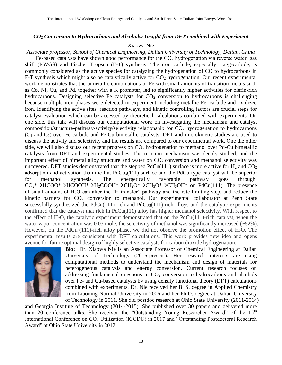### *CO<sup>2</sup> Conversion to Hydrocarbons and Alcohols: Insight from DFT combined with Experiment*

### Xiaowa Nie

*Associate professor, School of Chemical Engineering, Dalian University of Technology, Dalian, China*

Fe-based catalysts have shown good performance for the CO<sup>2</sup> hydrogenation via reverse water−gas shift (RWGS) and Fischer−Tropsch (F-T) synthesis. The iron carbide, especially Hägg-carbide, is commonly considered as the active species for catalyzing the hydrogenation of CO to hydrocarbons in F-T synthesis which might also be catalytically active for  $CO<sub>2</sub>$  hydrogenation. Our recent experimental work demonstrates that the bimetallic combinations of Fe with small amounts of transition metals such as Co, Ni, Cu, and Pd, together with a K promoter, led to significantly higher activities for olefin-rich hydrocarbons. Designing selective Fe catalysts for  $CO<sub>2</sub>$  conversion to hydrocarbons is challenging because multiple iron phases were detected in experiment including metallic Fe, carbide and oxidized iron. Identifying the active sites, reaction pathways, and kinetic controlling factors are crucial steps for catalyst evaluation which can be accessed by theoretical calculations combined with experiments. On one side, this talk will discuss our computational work on investigating the mechanism and catalyst composition/structure-pathway-activity/selectivity relationship for  $CO<sub>2</sub>$  hydrogenation to hydrocarbons  $(C_1$  and  $C_2$ ) over Fe carbide and Fe-Cu bimetallic catalysts. DFT and microkinetic studies are used to discuss the activity and selectivity and the results are compared to our experimental work. One the other side, we will also discuss our recent progress on  $CO<sub>2</sub>$  hydrogenation to methanol over Pd-Cu bimetallic catalysts from DFT and experimental studies. The reaction mechanism was deeply studied, and the important effect of bimetal alloy structure and water on  $CO<sub>2</sub>$  conversion and methanol selectivity was uncovered. DFT studies demonstrated that the stepped  $PdCu(111)$  surface is more active for  $H_2$  and  $CO_2$ adsorption and activation than the flat  $PdCu<sub>3</sub>(111)$  surface and the PdCu-type catalyst will be superior for methanol synthesis. The energetically favorable pathway goes through:  $CO_2^* \rightarrow HCOO^* \rightarrow HCOOH^* \rightarrow H_2COOH^* \rightarrow CH_2O^* \rightarrow CH_3O^* \rightarrow CH_3OH^*$  on PdCu(111). The presence of small amount of H2O can alter the "H-transfer" pathway and the rate-limiting step, and reduce the kinetic barriers for CO<sub>2</sub> conversion to methanol. Our experimental collaborator at Penn State successfully synthesized the  $PdCu(111)$ -rich and  $PdCu<sub>3</sub>(111)$ -rich alloys and the catalytic experiments confirmed that the catalyst that rich in PdCu(111) alloy has higher methanol selectivity. With respect to the effect of H<sub>2</sub>O, the catalytic experiment demonstrated that on the PdCu(111)-rich catalyst, when the water vapor concentration was 0.03 mole, the selectivity of methanol was significantly increased  $(-52\%)$ . However, on the PdCu<sub>3</sub>(111)-rich alloy phase, we did not observe the promotion effect of H<sub>2</sub>O. The experimental results are consistent with DFT calculations. This work provides new idea and opens avenue for future optimal design of highly selective catalysts for carbon dioxide hydrogenation.



**Bio:** Dr. Xiaowa Nie is an Associate Professor of Chemical Engineering at Dalian University of Technology (2015-present). Her research interests are using computational methods to understand the mechanism and design of materials for heterogeneous catalysis and energy conversion. Current research focuses on addressing fundamental questions in  $CO<sub>2</sub>$  conversion to hydrocarbons and alcohols over Fe- and Cu-based catalysts by using density functional theory (DFT) calculations combined with experiments. Dr. Nie received her B. S. degree in Applied Chemistry from Liaoning Normal University in 2006 and her Ph.D. degree at Dalian University of Technology in 2011. She did postdoc research at Ohio State University (2011-2014)

and Georgia Institute of Technology (2014-2015). She published over 30 papers and delivered more than 20 conference talks. She received the "Outstanding Young Researcher Award" of the 15<sup>th</sup> International Conference on CO<sup>2</sup> Utilization (ICCDU) in 2017 and "Outstanding Postdoctoral Research Award" at Ohio State University in 2012.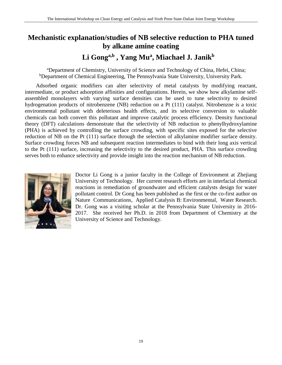## **Mechanistic explanation/studies of NB selective reduction to PHA tuned by alkane amine coating**

## **Li Gonga,b , Yang Mu<sup>a</sup> , Miachael J. Janik<sup>b</sup>**

<sup>a</sup>Department of Chemistry, University of Science and Technology of China, Hefei, China; bDepartment of Chemical Engineering, The Pennsylvania State University, University Park.

Adsorbed organic modifiers can alter selectivity of metal catalysts by modifying reactant, intermediate, or product adsorption affinities and configurations. Herein, we show how alkylamine selfassembled monolayers with varying surface densities can be used to tune selectivity to desired hydrogenation products of nitrobenzene (NB) reduction on a Pt (111) catalyst. Nitrobenzne is a toxic environmental pollutant with deleterious health effects, and its selective conversion to valuable chemicals can both convert this pollutant and improve catalytic process efficiency. Density functional theory (DFT) calculations demonstrate that the selectivity of NB reduction to phenylhydroxylamine (PHA) is achieved by controlling the surface crowding, with specific sites exposed for the selective reduction of NB on the Pt (111) surface through the selection of alkylamine modifier surface density. Surface crowding forces NB and subsequent reaction intermediates to bind with their long axis vertical to the Pt (111) surface, increasing the selectivity to the desired product, PHA. This surface crowding serves both to enhance selectivity and provide insight into the reaction mechanism of NB reduction.



Doctor Li Gong is a junior faculty in the College of Environment at Zhejiang University of Technology. Her current research efforts are in interfacial chemical reactions in remediation of groundwater and efficient catalysts design for water pollutant control. Dr Gong has been published as the first or the co-first author on Nature Communications, Applied Catalysis B: Environmental, Water Research. Dr. Gong was a visiting scholar at the Pennsylvania State University in 2016- 2017. She received her Ph.D. in 2018 from Department of Chemistry at the University of Science and Technology.